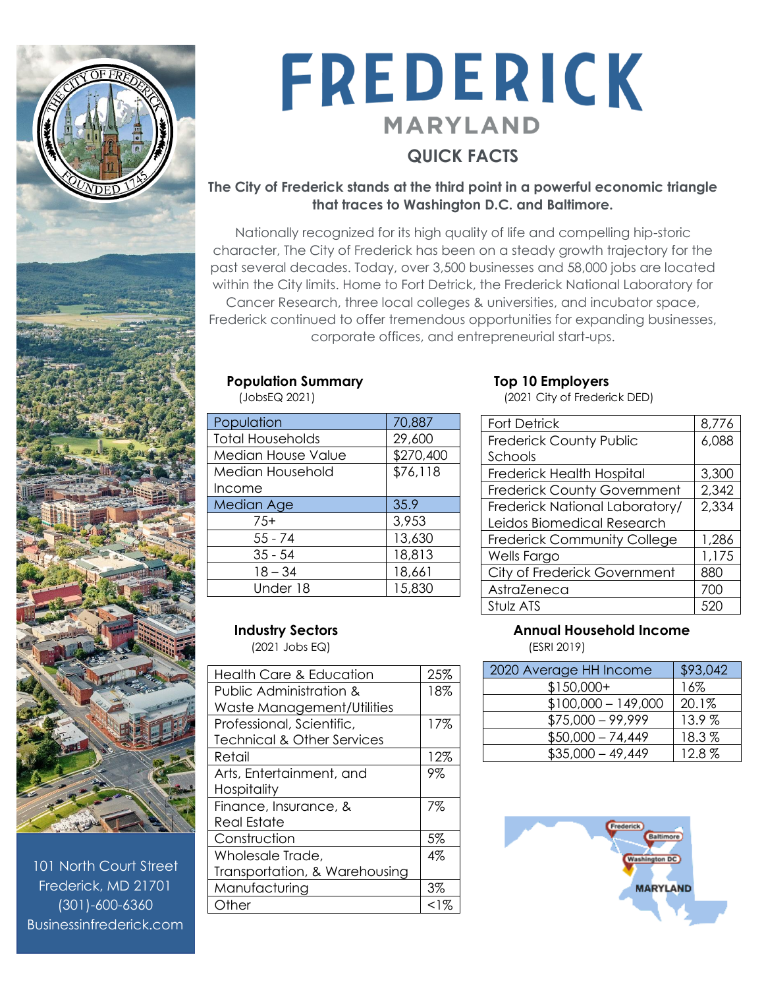

101 North Court Street Frederick, MD 21701 (301)-600-6360 Businessinfrederick.com

# FREDERICK **MARYLAND QUICK FACTS**

### **The City of Frederick stands at the third point in a powerful economic triangle that traces to Washington D.C. and Baltimore.**

Nationally recognized for its high quality of life and compelling hip-storic character, The City of Frederick has been on a steady growth trajectory for the past several decades. Today, over 3,500 businesses and 58,000 jobs are located within the City limits. Home to Fort Detrick, the Frederick National Laboratory for Cancer Research, three local colleges & universities, and incubator space, Frederick continued to offer tremendous opportunities for expanding businesses, corporate offices, and entrepreneurial start-ups.

## **Population Summary Top 10 Employers**

| Population                | 70,887    |
|---------------------------|-----------|
| <b>Total Households</b>   | 29,600    |
| <b>Median House Value</b> | \$270,400 |
| Median Household          | \$76,118  |
| Income                    |           |
| Median Age                | 35.9      |
| $7.5+$                    | 3,953     |
| $55 - 74$                 | 13,630    |
| $35 - 54$                 | 18,813    |
| $18 - 34$                 | 18,661    |
| Under 18                  | 15,830    |

(JobsEQ 2021) (2021 City of Frederick DED)

| <b>Fort Detrick</b>                | 8,776 |
|------------------------------------|-------|
| <b>Frederick County Public</b>     | 6,088 |
| Schools                            |       |
| Frederick Health Hospital          | 3,300 |
| <b>Frederick County Government</b> | 2,342 |
| Frederick National Laboratory/     | 2,334 |
| Leidos Biomedical Research         |       |
| <b>Frederick Community College</b> | 1,286 |
| Wells Fargo                        | 1,175 |
| City of Frederick Government       | 880   |
| AstraZeneca                        | 700   |
| Stulz ATS                          | 52    |

(2021 Jobs EQ) (ESRI 2019)

| Health Care & Education               | 25%    |
|---------------------------------------|--------|
| Public Administration &               | 18%    |
| Waste Management/Utilities            |        |
| Professional, Scientific,             | 17%    |
| <b>Technical &amp; Other Services</b> |        |
| Retail                                | 12%    |
| Arts, Entertainment, and              | 9%     |
| Hospitality                           |        |
| Finance, Insurance, &                 | 7%     |
| Real Estate                           |        |
| Construction                          | 5%     |
| Wholesale Trade,                      | $4\%$  |
| Transportation, & Warehousing         |        |
| Manufacturing                         | 3%     |
| Other                                 | $<$ 1% |
|                                       |        |

### **Industry Sectors Annual Household Income**  Annual Household Income

| 2020 Average HH Income | \$93,042 |
|------------------------|----------|
| $$150,000+$            | 16%      |
| $$100,000 - 149,000$   | 20.1%    |
| $$75,000 - 99,999$     | 13.9%    |
| $$50,000 - 74,449$     | 18.3%    |
| $$35,000 - 49,449$     | 12.8%    |